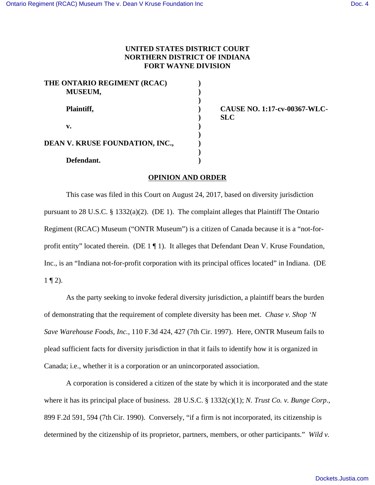## **UNITED STATES DISTRICT COURT NORTHERN DISTRICT OF INDIANA FORT WAYNE DIVISION**

| THE ONTARIO REGIMENT (RCAC)<br>MUSEUM, |  |
|----------------------------------------|--|
| Plaintiff,                             |  |
| v.                                     |  |
| <b>DEAN V. KRUSE FOUNDATION, INC.,</b> |  |
| Defendant.                             |  |

**Plaintiff, ) CAUSE NO. 1:17-cv-00367-WLC- ) SLC**

## **OPINION AND ORDER**

This case was filed in this Court on August 24, 2017, based on diversity jurisdiction pursuant to 28 U.S.C. § 1332(a)(2). (DE 1). The complaint alleges that Plaintiff The Ontario Regiment (RCAC) Museum ("ONTR Museum") is a citizen of Canada because it is a "not-forprofit entity" located therein. (DE  $1 \P 1$ ). It alleges that Defendant Dean V. Kruse Foundation, Inc., is an "Indiana not-for-profit corporation with its principal offices located" in Indiana. (DE  $1 \nvert 1 \nvert 2$ ).

As the party seeking to invoke federal diversity jurisdiction, a plaintiff bears the burden of demonstrating that the requirement of complete diversity has been met. *Chase v. Shop 'N Save Warehouse Foods, Inc.*, 110 F.3d 424, 427 (7th Cir. 1997). Here, ONTR Museum fails to plead sufficient facts for diversity jurisdiction in that it fails to identify how it is organized in Canada; i.e., whether it is a corporation or an unincorporated association.

A corporation is considered a citizen of the state by which it is incorporated and the state where it has its principal place of business. 28 U.S.C. § 1332(c)(1); *N. Trust Co. v. Bunge Corp*., 899 F.2d 591, 594 (7th Cir. 1990). Conversely, "if a firm is not incorporated, its citizenship is determined by the citizenship of its proprietor, partners, members, or other participants." *Wild v.*